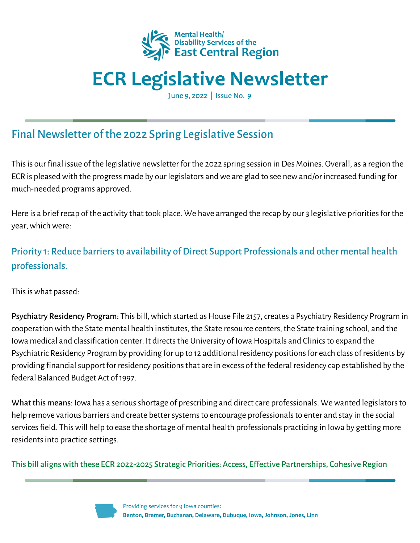

# **ECR Legislative Newsletter**

June 9, 2022 | Issue No. 9

# Final Newsletter of the 2022 Spring Legislative Session

Thisis our final issue of the legislative newsletter for the 2022 spring session in Des Moines. Overall, as a region the ECR is pleased with the progress made by our legislators and we are glad to see new and/or increased funding for much-needed programs approved.

Here is a brief recap of the activity that took place. We have arranged the recap by our 3 legislative priorities for the year,whichwere:

## Priority 1: Reduce barriers to availability of Direct Support Professionals and other mental health professionals.

This is what passed:

Psychiatry Residency Program: This bill, which started as House File 2157, creates a Psychiatry Residency Program in cooperation with the State mental health institutes, the State resource centers, the State training school, and the Iowa medical and classification center. It directs the University of Iowa Hospitals and Clinics to expand the Psychiatric Residency Program by providing for up to 12 additional residency positions for each class of residents by providing financialsupport for residency positionsthat are in excess of the federal residency cap established by the federal Balanced Budget Act of 1997.

What this means: Iowa has a serious shortage of prescribing and direct care professionals. We wanted legislators to help remove various barriers and create better systems to encourage professionals to enter and stay in the social services field. This will help to ease the shortage of mental health professionals practicing in Iowa by getting more residents into practice settings.

This bill alignswith these ECR 2022-2025 Strategic Priorities: Access, Effective Partnerships, Cohesive Region

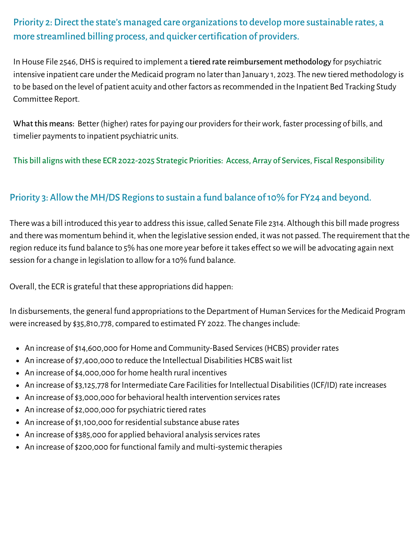## Priority 2: Direct the state's managed care organizations to develop more sustainable rates, a more streamlined billing process, and quicker certification of providers.

In House File 2546, DHS is required to implement a tiered rate reimbursement methodology for psychiatric intensive inpatient care under the Medicaid program no later than January 1, 2023. The new tiered methodology is to be based on the level of patient acuity and other factors as recommended in the Inpatient Bed Tracking Study Committee Report.

What this means: Better (higher) rates for paying our providers for their work, faster processing of bills, and timelier payments to inpatient psychiatric units.

This bill alignswith these ECR 2022-2025 Strategic Priorities: Access, Array of Services, Fiscal Responsibility

#### Priority 3: Allow the MH/DS Regions to sustain a fund balance of 10% for FY24 and beyond.

There was a bill introduced this year to address this issue, called Senate File 2314. Although this bill made progress and there was momentum behind it, when the legislative session ended, it was not passed. The requirement that the region reduce itsfund balance to 5% has one more year before it takes effectsowewill be advocating again next session for a change in legislation to allow for a 10% fund balance.

Overall, the ECR is grateful that these appropriations did happen:

In disbursements, the general fund appropriations to the Department of Human Services for the Medicaid Program were increased by \$35,810,778, compared to estimated FY 2022. The changes include:

- An increase of \$14,600,000 for Home and Community-Based Services (HCBS) provider rates
- An increase of \$7,400,000 to reduce the Intellectual Disabilities HCBS wait list
- An increase of \$4,000,000 for home health rural incentives
- An increase of \$3,125,778 for Intermediate Care Facilities for Intellectual Disabilities (ICF/ID) rate increases
- An increase of \$3,000,000 for behavioral health intervention services rates
- An increase of \$2,000,000 for psychiatric tiered rates
- An increase of \$1,100,000 for residential substance abuse rates
- An increase of \$385,000 for applied behavioral analysis services rates
- An increase of \$200,000 for functional family and multi-systemic therapies